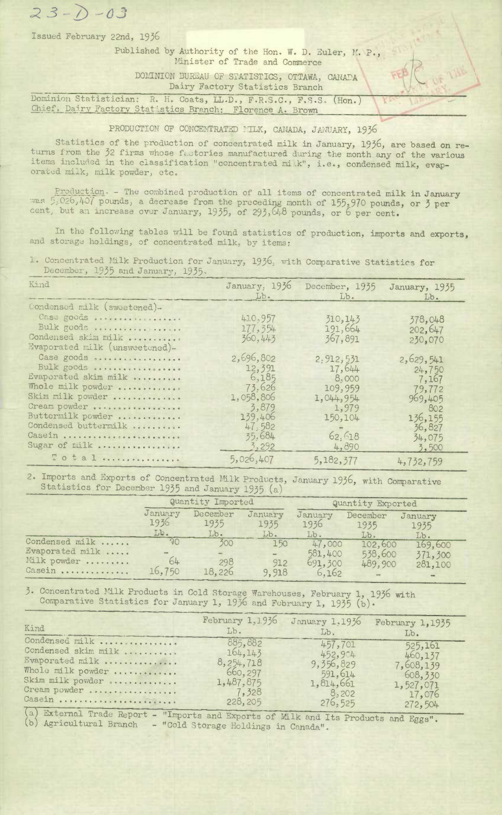*3 -2-- O3* 

Issued February 22nd, 1956

## Published by Authority of the Hon. W. D. Euler, M. P., Minister of Trade and Commerce

DOMENION BUR1AU OP STATISTICS, OTTAWA, CANADA Dairy Factory Statistics Branch

Dominion Statistician: R. H. Coats, LL.D., F.R.S.C., F.S.S. (Hon.) Chief. Dairy Factory Statistics Branch: Florence A. Brown

## PRODUCTION OF CONCENTRATED ILK, CANADA, JANUARY, 1936

Statistics of the production of concentrated milk in January, 1956, are based on returns from the 32 firms whose factories manufactured during the month any of the various items included in the classification "concentrated mi.k", i.e., condensed milk, evaporated milk, milk powder, etc.

Production. - The combined production of all items of concentrated milk in January was 5,026,407 pounds, a decrease from the preceding month of 155,970 pounds, or 3 per cent, but an increase over January,  $1935$ , of  $293,648$  pounds, or 6 per cent.

In the following tables will be found statistics of production, imports and exports, and storage holdings, of concentrated milk, by items:

1. Concentrated Milk Production for January, 1936, with Comparative Statistics for December, 1955 and January, 1955.

| Kind                                                  | January, 1936                           | December, 1935       | January, 1935      |
|-------------------------------------------------------|-----------------------------------------|----------------------|--------------------|
|                                                       | Lb.                                     | Lb.                  | Lb.                |
| Condensed milk (sweetened)-                           |                                         |                      |                    |
| Case goods                                            | 410,957                                 | 310, 143             | 378,048            |
| Bulk goods                                            | 177, 354                                | 191,664              |                    |
| Condensed skim milk<br>Evaporated milk (unsweetened)- | 360, 443                                | 367,891              | 202,647<br>230,070 |
| Case goods                                            | 2,696,802                               | 2.912,531            | 2,629,541          |
| Bulk goods                                            | 12,391                                  | 17,644               |                    |
| Evaporated skim milk                                  | 6,185                                   | 8,000                | 24,750             |
| Whole milk powder                                     | 73.626                                  |                      | 7,167              |
| Skim milk powder                                      | 1,058,806                               | 109,959<br>1,044,954 | 79,772<br>969,405  |
| Cream powder                                          | 3,879                                   | 1,979                | 802                |
| Buttermilk powder                                     | 139,406                                 | 150,104              | 136,155            |
| Condensed buttermilk<br>Casein<br>Sugar of milk       | 47,582<br>35.684<br>$\frac{3}{2}$ , 292 | 62.618<br>4,890      | 36,827<br>34,075   |
| Total                                                 | 5,026,407                               | 5,182,377            | 3,500<br>4,732,759 |

2. Imports and Exports of Concentrated Milk Products, January 1936, with Comparative Statistics for December 1935 and January 1935 (a)

|                 | Quantity Imported |                  | Quantity Exported |                 |                  |                 |
|-----------------|-------------------|------------------|-------------------|-----------------|------------------|-----------------|
|                 | January<br>1936   | December<br>1935 | January<br>1935   | January<br>1936 | December<br>1935 | January<br>1935 |
|                 | $Lb$ .            | $Lb$ .           | Lb.               | Lb.             | Lb.              | Lb.             |
| Condensed milk  | 90                | 300              | 150               | 47,000          | 102,600          | 169,600         |
| Evaporated milk |                   |                  | $\equiv$          | 581,400         | 538,600          | 371,300         |
| Milk powder     | 64                | 298              | 912               | 691,300         | 489,900          | 281,100         |
| Casein          | 16,750            | 18,226           | 9,918             | 6,162           |                  |                 |

3. Concentrated Milk Products in Cold Storage Warehouses, February 1, 1936 with Comparative Statistics for January 1, 1936 and February 1, 1935 (b).

| Kind                                                                                                                                                                                                                                                                                                                                                                                                                                                                                                                | February 1,1936                                                              | January 1.1936                                                                | February 1,1935                                                              |
|---------------------------------------------------------------------------------------------------------------------------------------------------------------------------------------------------------------------------------------------------------------------------------------------------------------------------------------------------------------------------------------------------------------------------------------------------------------------------------------------------------------------|------------------------------------------------------------------------------|-------------------------------------------------------------------------------|------------------------------------------------------------------------------|
|                                                                                                                                                                                                                                                                                                                                                                                                                                                                                                                     | $Lb$ .                                                                       | Lb.                                                                           | Lb.                                                                          |
| Condensed milk<br>Condensed skim milk<br>Evaporated milk<br>Whole milk powder<br>Skim milk powder<br>Cream powder<br>Casein<br>$\overline{1}$ $\overline{1}$ $\overline{1}$ $\overline{1}$ $\overline{1}$ $\overline{1}$ $\overline{1}$ $\overline{1}$ $\overline{1}$ $\overline{1}$ $\overline{1}$ $\overline{1}$ $\overline{1}$ $\overline{1}$ $\overline{1}$ $\overline{1}$ $\overline{1}$ $\overline{1}$ $\overline{1}$ $\overline{1}$ $\overline{1}$ $\overline{1}$ $\overline{1}$ $\overline{1}$ $\overline{$ | 885,882<br>164, 143<br>8,254,718<br>660,297<br>1,487,875<br>7,328<br>228,205 | 457,701<br>452,954<br>9, 356, 829<br>591,614<br>1,814,661<br>8,202<br>276,525 | 525,161<br>460,137<br>7,608,139<br>608,330<br>1,527,071<br>17,076<br>272,504 |

ta) External Trade Report - "Imports and Exports of L1k and Its Products and Eggs" (b) Agricultural Branch - "Cold Storage Holdings in Canada",